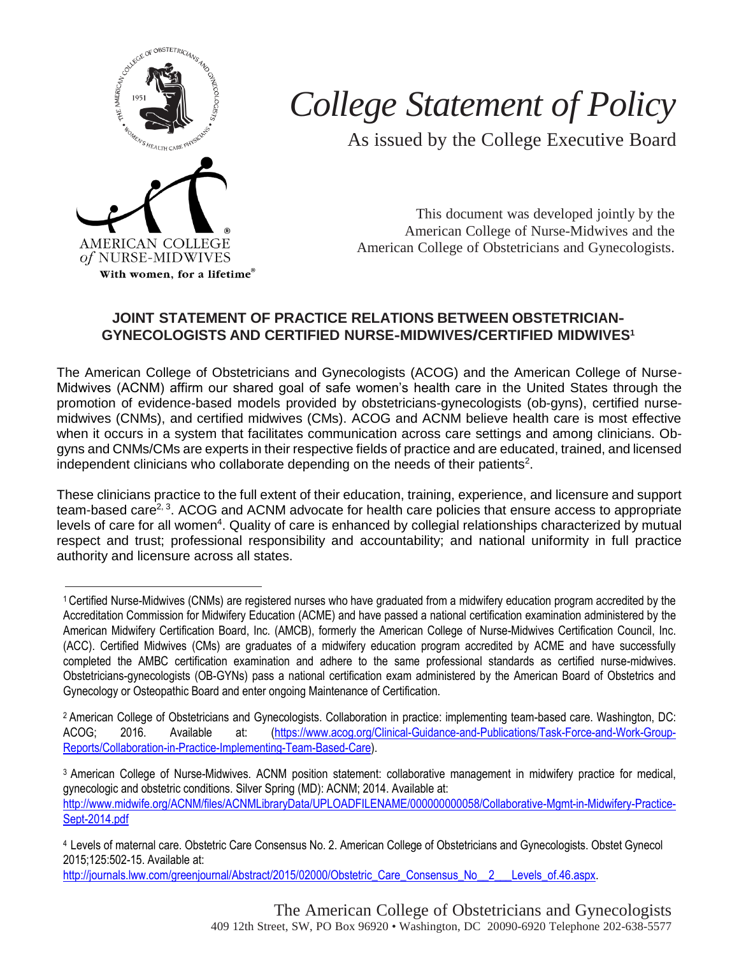

## *College Statement of Policy*

As issued by the College Executive Board

This document was developed jointly by the American College of Nurse-Midwives and the American College of Obstetricians and Gynecologists.

## **JOINT STATEMENT OF PRACTICE RELATIONS BETWEEN OBSTETRICIAN-GYNECOLOGISTS AND CERTIFIED NURSE-MIDWIVES/CERTIFIED MIDWIVES<sup>1</sup>**

The American College of Obstetricians and Gynecologists (ACOG) and the American College of Nurse-Midwives (ACNM) affirm our shared goal of safe women's health care in the United States through the promotion of evidence-based models provided by obstetricians-gynecologists (ob-gyns), certified nursemidwives (CNMs), and certified midwives (CMs). ACOG and ACNM believe health care is most effective when it occurs in a system that facilitates communication across care settings and among clinicians. Obgyns and CNMs/CMs are experts in their respective fields of practice and are educated, trained, and licensed independent clinicians who collaborate depending on the needs of their patients<sup>2</sup>.

These clinicians practice to the full extent of their education, training, experience, and licensure and support team-based care<sup>2, 3</sup>. ACOG and ACNM advocate for health care policies that ensure access to appropriate levels of care for all women<sup>4</sup>. Quality of care is enhanced by collegial relationships characterized by mutual respect and trust; professional responsibility and accountability; and national uniformity in full practice authority and licensure across all states.

<sup>1</sup>Certified Nurse-Midwives (CNMs) are registered nurses who have graduated from a midwifery education program accredited by the Accreditation Commission for Midwifery Education (ACME) and have passed a national certification examination administered by the American Midwifery Certification Board, Inc. (AMCB), formerly the American College of Nurse-Midwives Certification Council, Inc. (ACC). Certified Midwives (CMs) are graduates of a midwifery education program accredited by ACME and have successfully completed the AMBC certification examination and adhere to the same professional standards as certified nurse-midwives. Obstetricians-gynecologists (OB-GYNs) pass a national certification exam administered by the American Board of Obstetrics and Gynecology or Osteopathic Board and enter ongoing Maintenance of Certification.

<sup>2</sup> American College of Obstetricians and Gynecologists. Collaboration in practice: implementing team-based care. Washington, DC: ACOG; 2016. Available at: [\(https://www.acog.org/Clinical-Guidance-and-Publications/Task-Force-and-Work-Group-](https://www.acog.org/Clinical-Guidance-and-Publications/Task-Force-and-Work-Group-Reports/Collaboration-in-Practice-Implementing-Team-Based-Care)[Reports/Collaboration-in-Practice-Implementing-Team-Based-Care\)](https://www.acog.org/Clinical-Guidance-and-Publications/Task-Force-and-Work-Group-Reports/Collaboration-in-Practice-Implementing-Team-Based-Care).

<sup>3</sup> American College of Nurse-Midwives. ACNM position statement: collaborative management in midwifery practice for medical, gynecologic and obstetric conditions. Silver Spring (MD): ACNM; 2014. Available at: [http://www.midwife.org/ACNM/files/ACNMLibraryData/UPLOADFILENAME/000000000058/Collaborative-Mgmt-in-Midwifery-Practice-](http://www.midwife.org/ACNM/files/ACNMLibraryData/UPLOADFILENAME/000000000058/Collaborative-Mgmt-in-Midwifery-Practice-Sept-2014.pdf)[Sept-2014.pdf](http://www.midwife.org/ACNM/files/ACNMLibraryData/UPLOADFILENAME/000000000058/Collaborative-Mgmt-in-Midwifery-Practice-Sept-2014.pdf)

<sup>4</sup>Levels of maternal care. Obstetric Care Consensus No. 2. American College of Obstetricians and Gynecologists. Obstet Gynecol 2015;125:502-15. Available at:

[http://journals.lww.com/greenjournal/Abstract/2015/02000/Obstetric\\_Care\\_Consensus\\_No\\_\\_2\\_\\_\\_Levels\\_of.46.aspx.](http://journals.lww.com/greenjournal/Abstract/2015/02000/Obstetric_Care_Consensus_No__2___Levels_of.46.aspx)